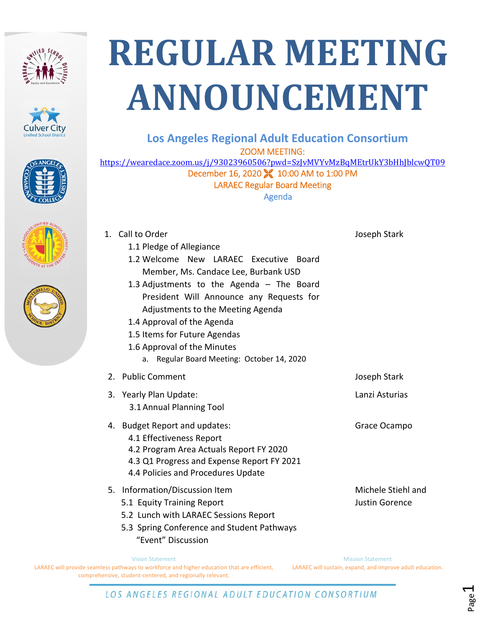







## **REGULAR MEETING ANNOUNCEMENT**

## **Los Angeles Regional Adult Education Consortium**

ZOOM MEETING:

https://wearedace.zoom.us/j/93023960506?pwd=SzJvMVYvMzBqMEtrUkY3bHhJblcwQT09 December 16, 2020 **X** 10:00 AM to 1:00 PM LARAEC Regular Board Meeting Agenda

|    | 1. Call to Order                            | Joseph Stark       |
|----|---------------------------------------------|--------------------|
|    | 1.1 Pledge of Allegiance                    |                    |
|    | 1.2 Welcome New LARAEC Executive Board      |                    |
|    | Member, Ms. Candace Lee, Burbank USD        |                    |
|    | 1.3 Adjustments to the Agenda $-$ The Board |                    |
|    | President Will Announce any Requests for    |                    |
|    | Adjustments to the Meeting Agenda           |                    |
|    | 1.4 Approval of the Agenda                  |                    |
|    | 1.5 Items for Future Agendas                |                    |
|    | 1.6 Approval of the Minutes                 |                    |
|    | a. Regular Board Meeting: October 14, 2020  |                    |
| 2. | <b>Public Comment</b>                       | Joseph Stark       |
|    | 3. Yearly Plan Update:                      | Lanzi Asturias     |
|    | 3.1 Annual Planning Tool                    |                    |
| 4. | <b>Budget Report and updates:</b>           | Grace Ocampo       |
|    | 4.1 Effectiveness Report                    |                    |
|    | 4.2 Program Area Actuals Report FY 2020     |                    |
|    | 4.3 Q1 Progress and Expense Report FY 2021  |                    |
|    | 4.4 Policies and Procedures Update          |                    |
| 5. | Information/Discussion Item                 | Michele Stiehl and |
|    | 5.1 Equity Training Report                  | Justin Gorence     |
|    | 5.2 Lunch with LARAEC Sessions Report       |                    |
|    | 5.3 Spring Conference and Student Pathways  |                    |
|    | "Event" Discussion                          |                    |

Vision Statement

LARAEC will provide seamless pathways to workforce and higher education that are efficient, comprehensive, student‐centered, and regionally relevant.

Mission Statement LARAEC will sustain, expand, and improve adult education.